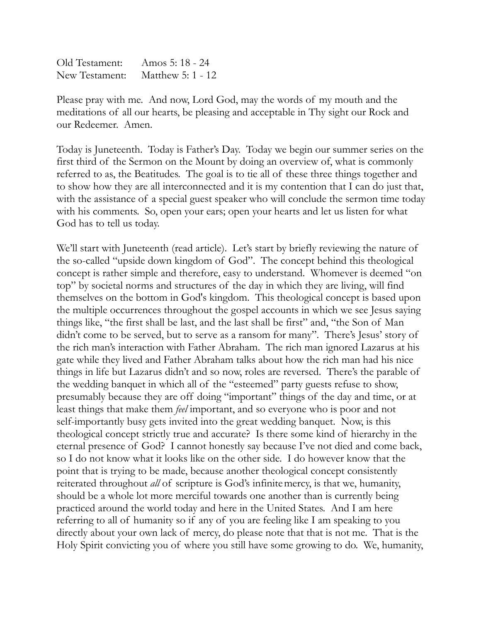| Old Testament: | Amos 5: 18 - 24   |
|----------------|-------------------|
| New Testament: | Matthew 5: 1 - 12 |

Please pray with me. And now, Lord God, may the words of my mouth and the meditations of all our hearts, be pleasing and acceptable in Thy sight our Rock and our Redeemer. Amen.

Today is Juneteenth. Today is Father's Day. Today we begin our summer series on the first third of the Sermon on the Mount by doing an overview of, what is commonly referred to as, the Beatitudes. The goal is to tie all of these three things together and to show how they are all interconnected and it is my contention that I can do just that, with the assistance of a special guest speaker who will conclude the sermon time today with his comments. So, open your ears; open your hearts and let us listen for what God has to tell us today.

We'll start with Juneteenth (read article). Let's start by briefly reviewing the nature of the so-called "upside down kingdom of God". The concept behind this theological concept is rather simple and therefore, easy to understand. Whomever is deemed "on top" by societal norms and structures of the day in which they are living, will find themselves on the bottom in God's kingdom. This theological concept is based upon the multiple occurrences throughout the gospel accounts in which we see Jesus saying things like, "the first shall be last, and the last shall be first" and, "the Son of Man didn't come to be served, but to serve as a ransom for many". There's Jesus' story of the rich man's interaction with Father Abraham. The rich man ignored Lazarus at his gate while they lived and Father Abraham talks about how the rich man had his nice things in life but Lazarus didn't and so now, roles are reversed. There's the parable of the wedding banquet in which all of the "esteemed" party guests refuse to show, presumably because they are off doing "important" things of the day and time, or at least things that make them *feel* important, and so everyone who is poor and not self-importantly busy gets invited into the great wedding banquet. Now, is this theological concept strictly true and accurate? Is there some kind of hierarchy in the eternal presence of God? I cannot honestly say because I've not died and come back, so I do not know what it looks like on the other side. I do however know that the point that is trying to be made, because another theological concept consistently reiterated throughout *all* of scripture is God's infinitemercy, is that we, humanity, should be a whole lot more merciful towards one another than is currently being practiced around the world today and here in the United States. And I am here referring to all of humanity so if any of you are feeling like I am speaking to you directly about your own lack of mercy, do please note that that is not me. That is the Holy Spirit convicting you of where you still have some growing to do. We, humanity,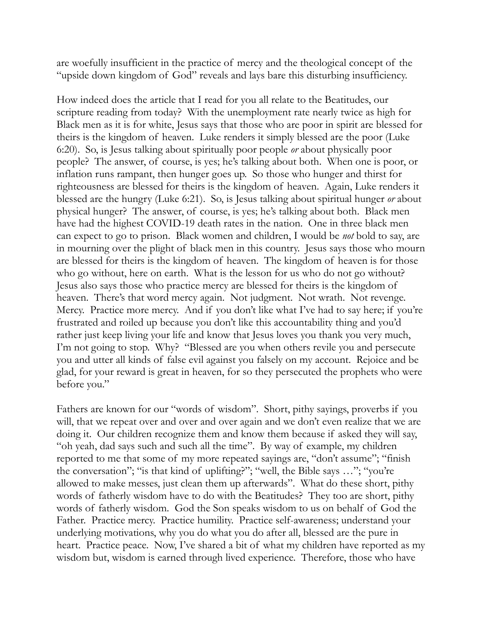are woefully insufficient in the practice of mercy and the theological concept of the "upside down kingdom of God" reveals and lays bare this disturbing insufficiency.

How indeed does the article that I read for you all relate to the Beatitudes, our scripture reading from today? With the unemployment rate nearly twice as high for Black men as it is for white, Jesus says that those who are poor in spirit are blessed for theirs is the kingdom of heaven. Luke renders it simply blessed are the poor (Luke 6:20). So, is Jesus talking about spiritually poor people *or* about physically poor people? The answer, of course, is yes; he's talking about both. When one is poor, or inflation runs rampant, then hunger goes up. So those who hunger and thirst for righteousness are blessed for theirs is the kingdom of heaven. Again, Luke renders it blessed are the hungry (Luke 6:21). So, is Jesus talking about spiritual hunger *or* about physical hunger? The answer, of course, is yes; he's talking about both. Black men have had the highest COVID-19 death rates in the nation. One in three black men can expect to go to prison. Black women and children, I would be *not* bold to say, are in mourning over the plight of black men in this country. Jesus says those who mourn are blessed for theirs is the kingdom of heaven. The kingdom of heaven is for those who go without, here on earth. What is the lesson for us who do not go without? Jesus also says those who practice mercy are blessed for theirs is the kingdom of heaven. There's that word mercy again. Not judgment. Not wrath. Not revenge. Mercy. Practice more mercy. And if you don't like what I've had to say here; if you're frustrated and roiled up because you don't like this accountability thing and you'd rather just keep living your life and know that Jesus loves you thank you very much, I'm not going to stop. Why? "Blessed are you when others revile you and persecute you and utter all kinds of false evil against you falsely on my account. Rejoice and be glad, for your reward is great in heaven, for so they persecuted the prophets who were before you."

Fathers are known for our "words of wisdom". Short, pithy sayings, proverbs if you will, that we repeat over and over and over again and we don't even realize that we are doing it. Our children recognize them and know them because if asked they will say, "oh yeah, dad says such and such all the time". By way of example, my children reported to me that some of my more repeated sayings are, "don't assume"; "finish the conversation"; "is that kind of uplifting?"; "well, the Bible says …"; "you're allowed to make messes, just clean them up afterwards". What do these short, pithy words of fatherly wisdom have to do with the Beatitudes? They too are short, pithy words of fatherly wisdom. God the Son speaks wisdom to us on behalf of God the Father. Practice mercy. Practice humility. Practice self-awareness; understand your underlying motivations, why you do what you do after all, blessed are the pure in heart. Practice peace. Now, I've shared a bit of what my children have reported as my wisdom but, wisdom is earned through lived experience. Therefore, those who have